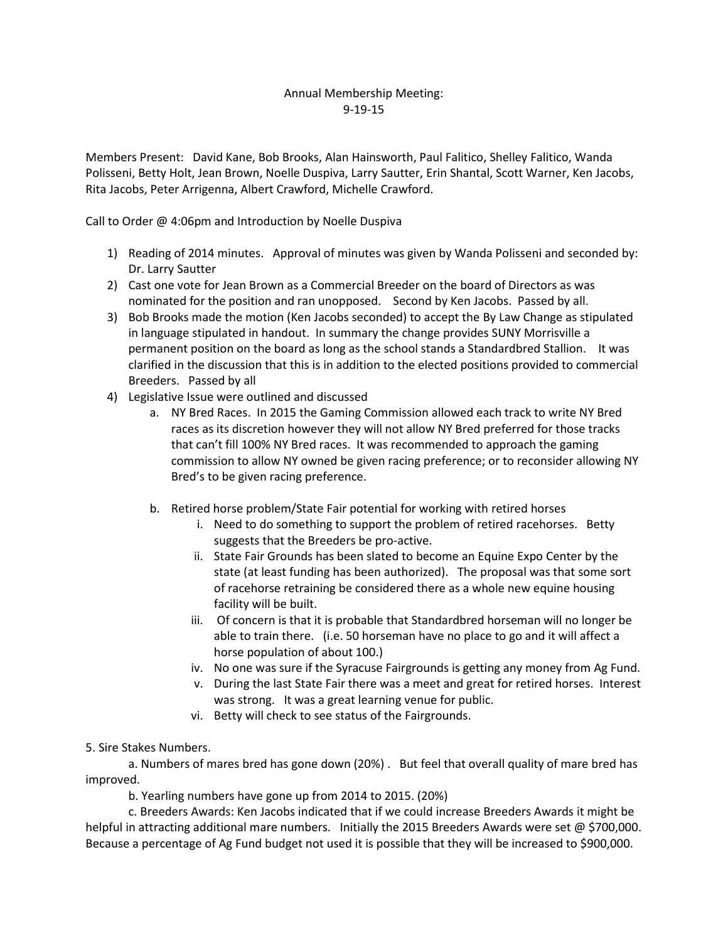## Annual Membership Meeting: 9-19-15

Members Present: David Kane, Bob Brooks, Alan Hainsworth, Paul Falitico, Shelley Falitico, Wanda Polisseni, Betty Holt, Jean Brown, Noelle Duspiva, Larry Sautter, Erin Shantal, Scott Warner, Ken Jacobs, Rita Jacobs, Peter Arrigenna, Albert Crawford, Michelle Crawford.

Call to Order @ 4:06pm and Introduction by Noelle Duspiva

- 1) Reading of 2014 minutes. Approval of minutes was given by Wanda Polisseni and seconded by: Dr. Larry Sautter
- 2) Cast one vote for Jean Brown as a Commercial Breeder on the board of Directors as was nominated for the position and ran unopposed. Second by Ken Jacobs. Passed by all.
- 3) Bob Brooks made the motion (Ken Jacobs seconded) to accept the By Law Change as stipulated in language stipulated in handout. In summary the change provides SUNY Morrisville a permanent position on the board as long as the school stands a Standardbred Stallion. It was clarified in the discussion that this is in addition to the elected positions provided to commercial Breeders. Passed by all
- 4) Legislative Issue were outlined and discussed
	- a. NY Bred Races. In 2015 the Gaming Commission allowed each track to write NY Bred races as its discretion however they will not allow NY Bred preferred for those tracks that can't fill 100% NY Bred races. It was recommended to approach the gaming commission to allow NY owned be given racing preference; or to reconsider allowing NY Bred's to be given racing preference.
	- b. Retired horse problem/State Fair potential for working with retired horses
		- i. Need to do something to support the problem of retired racehorses. Betty suggests that the Breeders be pro-active.
		- ii. State Fair Grounds has been slated to become an Equine Expo Center by the state (at least funding has been authorized). The proposal was that some sort of racehorse retraining be considered there as a whole new equine housing facility will be built.
		- iii. Of concern is that it is probable that Standardbred horseman will no longer be able to train there. (i.e. 50 horseman have no place to go and it will affect a horse population of about 100.)
		- iv. No one was sure if the Syracuse Fairgrounds is getting any money from Ag Fund.
		- v. During the last State Fair there was a meet and great for retired horses. Interest was strong. It was a great learning venue for public.
		- vi. Betty will check to see status of the Fairgrounds.

5. Sire Stakes Numbers.

a. Numbers of mares bred has gone down (20%) . But feel that overall quality of mare bred has improved.

b. Yearling numbers have gone up from 2014 to 2015. (20%)

c. Breeders Awards: Ken Jacobs indicated that if we could increase Breeders Awards it might be helpful in attracting additional mare numbers. Initially the 2015 Breeders Awards were set @ \$700,000. Because a percentage of Ag Fund budget not used it is possible that they will be increased to \$900,000.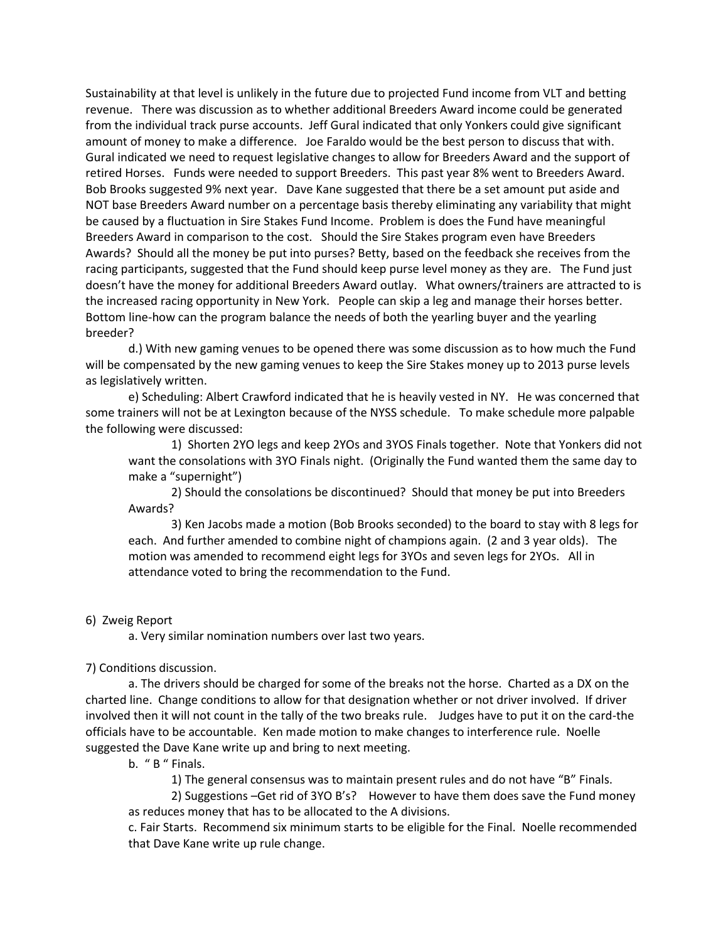Sustainability at that level is unlikely in the future due to projected Fund income from VLT and betting revenue. There was discussion as to whether additional Breeders Award income could be generated from the individual track purse accounts. Jeff Gural indicated that only Yonkers could give significant amount of money to make a difference. Joe Faraldo would be the best person to discuss that with. Gural indicated we need to request legislative changes to allow for Breeders Award and the support of retired Horses. Funds were needed to support Breeders. This past year 8% went to Breeders Award. Bob Brooks suggested 9% next year. Dave Kane suggested that there be a set amount put aside and NOT base Breeders Award number on a percentage basis thereby eliminating any variability that might be caused by a fluctuation in Sire Stakes Fund Income. Problem is does the Fund have meaningful Breeders Award in comparison to the cost. Should the Sire Stakes program even have Breeders Awards? Should all the money be put into purses? Betty, based on the feedback she receives from the racing participants, suggested that the Fund should keep purse level money as they are. The Fund just doesn't have the money for additional Breeders Award outlay. What owners/trainers are attracted to is the increased racing opportunity in New York. People can skip a leg and manage their horses better. Bottom line-how can the program balance the needs of both the yearling buyer and the yearling breeder?

d.) With new gaming venues to be opened there was some discussion as to how much the Fund will be compensated by the new gaming venues to keep the Sire Stakes money up to 2013 purse levels as legislatively written.

e) Scheduling: Albert Crawford indicated that he is heavily vested in NY. He was concerned that some trainers will not be at Lexington because of the NYSS schedule. To make schedule more palpable the following were discussed:

1) Shorten 2YO legs and keep 2YOs and 3YOS Finals together. Note that Yonkers did not want the consolations with 3YO Finals night. (Originally the Fund wanted them the same day to make a "supernight")

2) Should the consolations be discontinued? Should that money be put into Breeders Awards?

3) Ken Jacobs made a motion (Bob Brooks seconded) to the board to stay with 8 legs for each. And further amended to combine night of champions again. (2 and 3 year olds). The motion was amended to recommend eight legs for 3YOs and seven legs for 2YOs. All in attendance voted to bring the recommendation to the Fund.

#### 6) Zweig Report

a. Very similar nomination numbers over last two years.

### 7) Conditions discussion.

a. The drivers should be charged for some of the breaks not the horse. Charted as a DX on the charted line. Change conditions to allow for that designation whether or not driver involved. If driver involved then it will not count in the tally of the two breaks rule. Judges have to put it on the card-the officials have to be accountable. Ken made motion to make changes to interference rule. Noelle suggested the Dave Kane write up and bring to next meeting.

b. " B " Finals.

1) The general consensus was to maintain present rules and do not have "B" Finals.

2) Suggestions –Get rid of 3YO B's? However to have them does save the Fund money as reduces money that has to be allocated to the A divisions.

c. Fair Starts. Recommend six minimum starts to be eligible for the Final. Noelle recommended that Dave Kane write up rule change.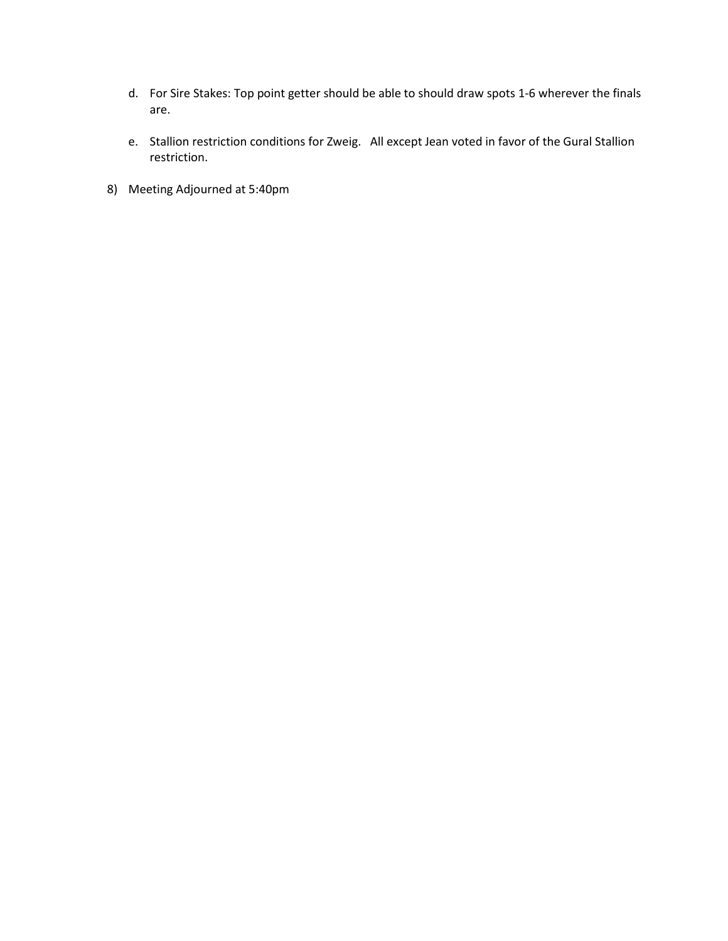- d. For Sire Stakes: Top point getter should be able to should draw spots 1-6 wherever the finals are.
- e. Stallion restriction conditions for Zweig. All except Jean voted in favor of the Gural Stallion restriction.
- 8) Meeting Adjourned at 5:40pm